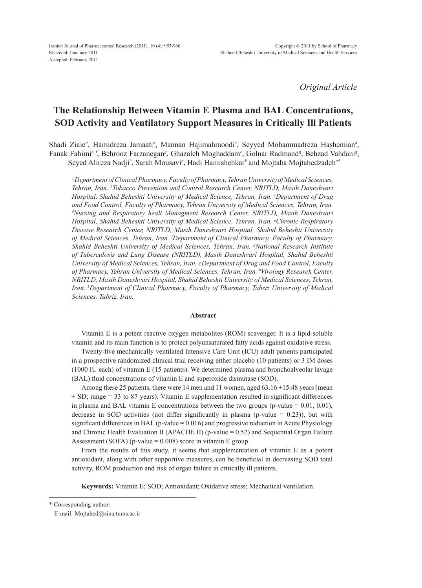*Original Article*

# **The Relationship Between Vitamin E Plasma and BAL Concentrations, SOD Activity and Ventilatory Support Measures in Critically Ill Patients**

Shadi Ziaie<sup>a</sup>, Hamidreza Jamaati<sup>b</sup>, Mannan Hajimahmoodi<sup>c</sup>, Seyyed Mohammadreza Hashemian<sup>d</sup>, Fanak Fahimi<sup>e, f</sup>, Behrooz Farzanegan<sup>g</sup>, Ghazaleh Moghaddam<sup>c</sup>, Golnar Radmand<sup>g</sup>, Behzad Vahdani<sup>g</sup>, Seyed Alireza Nadji*<sup>h</sup>* , Sarah Mousavi*<sup>a</sup>* , Hadi Hamishehkar*<sup>k</sup>* and Mojtaba Mojtahedzadeh*a\**

*a Department of Clinical Pharmacy, Faculty of Pharmacy, Tehran University of Medical Sciences, Tehran, Iran. b Tobacco Prevention and Control Research Center, NRITLD, Masih Daneshvari Hospital, Shahid Beheshti University of Medical Science, Tehran, Iran. c Department of Drug*  and Food Control, Faculty of Pharmacy, Tehran University of Medical Sciences, Tehran, Iran. *d Nursing and Respiratory healt Managment Research Center, NRITLD, Masih Daneshvari Hospital, Shahid Beheshti University of Medical Science, Tehran, Iran. e Chronic Respiratory Disease Research Center, NRITLD, Masih Daneshvari Hospital, Shahid Beheshti University of Medical Sciences, Tehran, Iran. f Department of Clinical Pharmacy, Faculty of Pharmacy, Shahid Beheshti University of Medical Sciences, Tehran, Iran. g National Research Institute of Tuberculosis and Lung Disease (NRITLD), Masih Daneshvari Hospital, Shahid Beheshti University of Medical Sciences, Tehran, Iran. cDepartment of Drug and Food Control, Faculty of Pharmacy, Tehran University of Medical Sciences, Tehran, Iran. h Virology Research Center, NRITLD, Masih Daneshvari Hospital, Shahid Beheshti University of Medical Sciences, Tehran, Iran. k Department of Clinical Pharmacy, Faculty of Pharmacy, Tabriz University of Medical Sciences, Tabriz, Iran.*

#### **Abstract**

Vitamin E is a potent reactive oxygen metabolites (ROM) scavenger. It is a lipid-soluble vitamin and its main function is to protect polyunsaturated fatty acids against oxidative stress.

Twenty-five mechanically ventilated Intensive Care Unit (ICU) adult patients participated in a prospective randomized clinical trial receiving either placebo (10 patients) or 3 IM doses (1000 IU each) of vitamin E (15 patients). We determined plasma and bronchoalveolar lavage (BAL) fluid concentrations of vitamin E and superoxide dismutase (SOD).

Among these 25 patients, there were 14 men and 11 women, aged  $63.16 \pm 15.48$  years (mean  $\pm$  SD; range = 33 to 87 years). Vitamin E supplementation resulted in significant differences in plasma and BAL vitamin E concentrations between the two groups (p-value  $= 0.01, 0.01$ ), decrease in SOD activities (not differ significantly in plasma (p-value  $= 0.23$ )), but with significant differences in BAL (p-value = 0.016) and progressive reduction in Acute Physiology and Chronic Health Evaluation II (APACHE II) (p-value = 0.52) and Sequential Organ Failure Assessment (SOFA) (p-value  $= 0.008$ ) score in vitamin E group.

From the results of this study, it seems that supplementation of vitamin E as a potent antioxidant, along with other supportive measures, can be beneficial in decreasing SOD total activity, ROM production and risk of organ failure in critically ill patients.

**Keywords:** Vitamin E; SOD; Antioxidant; Oxidative stress; Mechanical ventilation.

\* Corresponding author:

E-mail: Mojtahed@sina.tums.ac.ir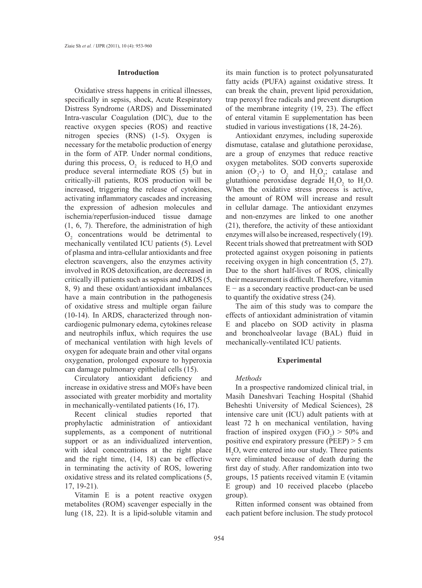## **Introduction**

Oxidative stress happens in critical illnesses, specifically in sepsis, shock, Acute Respiratory Distress Syndrome (ARDS) and Disseminated Intra-vascular Coagulation (DIC), due to the reactive oxygen species (ROS) and reactive nitrogen species (RNS) (1-5). Oxygen is necessary for the metabolic production of energy in the form of ATP. Under normal conditions, during this process,  $O_2$  is reduced to  $H_2O$  and produce several intermediate ROS (5) but in critically-ill patients, ROS production will be increased, triggering the release of cytokines, activating inflammatory cascades and increasing the expression of adhesion molecules and ischemia/reperfusion-induced tissue damage (1, 6, 7). Therefore, the administration of high  $O<sub>2</sub>$  concentrations would be detrimental to mechanically ventilated ICU patients (5). Level of plasma and intra-cellular antioxidants and free electron scavengers, also the enzymes activity involved in ROS detoxification, are decreased in critically ill patients such as sepsis and ARDS (5, 8, 9) and these oxidant/antioxidant imbalances have a main contribution in the pathogenesis of oxidative stress and multiple organ failure (10-14). In ARDS, characterized through noncardiogenic pulmonary edema, cytokines release and neutrophils influx, which requires the use of mechanical ventilation with high levels of oxygen for adequate brain and other vital organs oxygenation, prolonged exposure to hyperoxia can damage pulmonary epithelial cells (15).

Circulatory antioxidant deficiency and increase in oxidative stress and MOFs have been associated with greater morbidity and mortality in mechanically-ventilated patients (16, 17).

Recent clinical studies reported that prophylactic administration of antioxidant supplements, as a component of nutritional support or as an individualized intervention, with ideal concentrations at the right place and the right time, (14, 18) can be effective in terminating the activity of ROS, lowering oxidative stress and its related complications (5, 17, 19-21).

Vitamin E is a potent reactive oxygen metabolites (ROM) scavenger especially in the lung (18, 22). It is a lipid-soluble vitamin and its main function is to protect polyunsaturated fatty acids (PUFA) against oxidative stress. It can break the chain, prevent lipid peroxidation, trap peroxyl free radicals and prevent disruption of the membrane integrity (19, 23). The effect of enteral vitamin E supplementation has been studied in various investigations (18, 24-26).

Antioxidant enzymes, including superoxide dismutase, catalase and glutathione peroxidase, are a group of enzymes that reduce reactive oxygen metabolites. SOD converts superoxide anion  $(O_2^-)$  to  $O_2$  and  $H_2O_2$ ; catalase and glutathione peroxidase degrade  $H_2O_2$  to  $H_2O$ . When the oxidative stress process is active, the amount of ROM will increase and result in cellular damage. The antioxidant enzymes and non-enzymes are linked to one another (21), therefore, the activity of these antioxidant enzymes will also be increased, respectively (19). Recent trials showed that pretreatment with SOD protected against oxygen poisoning in patients receiving oxygen in high concentration (5, 27). Due to the short half-lives of ROS, clinically their measurement is difficult. Therefore, vitamin E − as a secondary reactive product-can be used to quantify the oxidative stress (24).

The aim of this study was to compare the effects of antioxidant administration of vitamin E and placebo on SOD activity in plasma and bronchoalveolar lavage (BAL) fluid in mechanically-ventilated ICU patients.

## **Experimental**

## *Methods*

In a prospective randomized clinical trial, in Masih Daneshvari Teaching Hospital (Shahid Beheshti University of Medical Sciences), 28 intensive care unit (ICU) adult patients with at least 72 h on mechanical ventilation, having fraction of inspired oxygen (FiO<sub>2</sub>) > 50% and positive end expiratory pressure (PEEP) > 5 cm H2 O, were entered into our study. Three patients were eliminated because of death during the first day of study. After randomization into two groups, 15 patients received vitamin E (vitamin E group) and 10 received placebo (placebo group).

Ritten informed consent was obtained from each patient before inclusion. The study protocol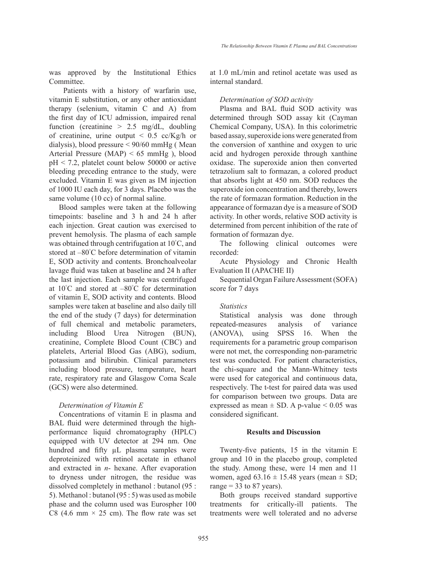was approved by the Institutional Ethics Committee.

Patients with a history of warfarin use, vitamin E substitution, or any other antioxidant therapy (selenium, vitamin C and A) from the first day of ICU admission, impaired renal function (creatinine  $> 2.5$  mg/dL, doubling of creatinine, urine output  $\leq 0.5$  cc/Kg/h or dialysis), blood pressure < 90/60 mmHg ( Mean Arterial Pressure (MAP) < 65 mmHg ), blood pH < 7.2, platelet count below 50000 or active bleeding preceding entrance to the study, were excluded. Vitamin E was given as IM injection of 1000 IU each day, for 3 days. Placebo was the same volume (10 cc) of normal saline.

Blood samples were taken at the following timepoints: baseline and 3 h and 24 h after each injection. Great caution was exercised to prevent hemolysis. The plasma of each sample was obtained through centrifugation at 10° C, and stored at –80° C before determination of vitamin E, SOD activity and contents. Bronchoalveolar lavage fluid was taken at baseline and 24 h after the last injection. Each sample was centrifuged at 10° C and stored at –80° C for determination of vitamin E, SOD activity and contents. Blood samples were taken at baseline and also daily till the end of the study (7 days) for determination of full chemical and metabolic parameters, including Blood Urea Nitrogen (BUN), creatinine, Complete Blood Count (CBC) and platelets, Arterial Blood Gas (ABG), sodium, potassium and bilirubin. Clinical parameters including blood pressure, temperature, heart rate, respiratory rate and Glasgow Coma Scale (GCS) were also determined.

## *Determination of Vitamin E*

Concentrations of vitamin E in plasma and BAL fluid were determined through the highperformance liquid chromatography (HPLC) equipped with UV detector at 294 nm. One hundred and fifty  $\mu$ L plasma samples were deproteinized with retinol acetate in ethanol and extracted in *n*- hexane. After evaporation to dryness under nitrogen, the residue was dissolved completely in methanol : butanol (95 : 5). Methanol : butanol (95 : 5) was used as mobile phase and the column used was Eurospher 100 C8 (4.6 mm  $\times$  25 cm). The flow rate was set at 1.0 mL/min and retinol acetate was used as internal standard.

*Determination of SOD activity*

Plasma and BAL fluid SOD activity was determined through SOD assay kit (Cayman Chemical Company, USA). In this colorimetric based assay, superoxide ions were generated from the conversion of xanthine and oxygen to uric acid and hydrogen peroxide through xanthine oxidase. The superoxide anion then converted tetrazolium salt to formazan, a colored product that absorbs light at 450 nm. SOD reduces the superoxide ion concentration and thereby, lowers the rate of formazan formation. Reduction in the appearance of formazan dye is a measure of SOD activity. In other words, relative SOD activity is determined from percent inhibition of the rate of formation of formazan dye.

The following clinical outcomes were recorded:

Acute Physiology and Chronic Health Evaluation II (APACHE II)

Sequential Organ Failure Assessment (SOFA) score for 7 days

## *Statistics*

Statistical analysis was done through repeated-measures analysis of variance (ANOVA), using SPSS 16. When the requirements for a parametric group comparison were not met, the corresponding non-parametric test was conducted. For patient characteristics, the chi-square and the Mann-Whitney tests were used for categorical and continuous data, respectively. The t-test for paired data was used for comparison between two groups. Data are expressed as mean  $\pm$  SD. A p-value  $\leq$  0.05 was considered significant.

# **Results and Discussion**

Twenty-five patients, 15 in the vitamin E group and 10 in the placebo group, completed the study. Among these, were 14 men and 11 women, aged  $63.16 \pm 15.48$  years (mean  $\pm$  SD; range  $= 33$  to 87 years).

Both groups received standard supportive treatments for critically-ill patients. The treatments were well tolerated and no adverse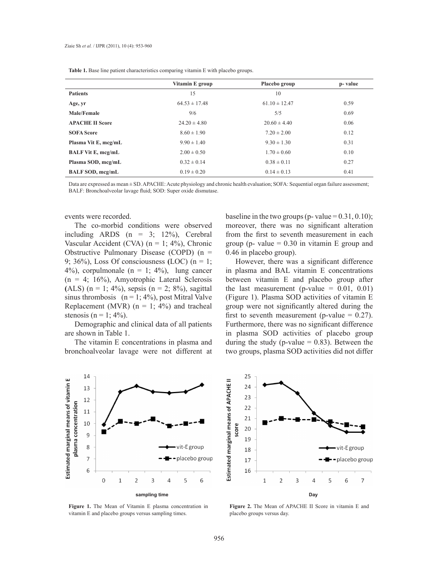|                           | Vitamin E group   | Placebo group     | p-value |
|---------------------------|-------------------|-------------------|---------|
| <b>Patients</b>           | 15                | 10                |         |
| Age, yr                   | $64.53 \pm 17.48$ | $61.10 \pm 12.47$ | 0.59    |
| Male/Female               | 9/6               | 5/5               | 0.69    |
| <b>APACHE II Score</b>    | $24.20 \pm 4.80$  | $20.60 \pm 4.40$  | 0.06    |
| <b>SOFA Score</b>         | $8.60 \pm 1.90$   | $7.20 \pm 2.00$   | 0.12    |
| Plasma Vit E, mcg/mL      | $9.90 \pm 1.40$   | $9.30 \pm 1.30$   | 0.31    |
| <b>BALF Vit E, mcg/mL</b> | $2.00 \pm 0.50$   | $1.70 \pm 0.60$   | 0.10    |
| Plasma SOD, mcg/mL        | $0.32 \pm 0.14$   | $0.38 \pm 0.11$   | 0.27    |
| BALF SOD, mcg/mL          | $0.19 \pm 0.20$   | $0.14 \pm 0.13$   | 0.41    |

**Table 1.** Base line patient characteristics comparing vitamin E with placebo groups.

Data are expressed as mean  $\pm$  SD. APACHE: Acute physiology and chronic health evaluation; SOFA: Sequential organ failure assessment; BALF: Bronchoalveolar lavage fluid; SOD: Super oxide dismutase.

#### events were recorded.

The co-morbid conditions were observed including ARDS  $(n = 3; 12\%)$ , Cerebral Vascular Accident (CVA) ( $n = 1$ ; 4%), Chronic Obstructive Pulmonary Disease (COPD) (n = 9; 36%), Loss Of consciousness **(**LOC) (n = 1; 4%), corpulmonale  $(n = 1; 4\%)$ , lung cancer (n = 4; 16%), Amyotrophic Lateral Sclerosis (ALS)  $(n = 1; 4\%)$ , sepsis  $(n = 2; 8\%)$ , sagittal sinus thrombosis ( $n = 1$ ; 4%), post Mitral Valve Replacement (MVR) ( $n = 1$ ; 4%) and tracheal stenosis (n = 1;  $4\%$ ).

Demographic and clinical data of all patients are shown in Table 1.

The vitamin E concentrations in plasma and bronchoalveolar lavage were not different at



However, there was a significant difference in plasma and BAL vitamin E concentrations between vitamin E and placebo group after the last measurement (p-value =  $0.01$ ,  $0.01$ ) (Figure 1). Plasma SOD activities of vitamin E group were not significantly altered during the first to seventh measurement (p-value  $= 0.27$ ). Furthermore, there was no significant difference in plasma SOD activities of placebo group during the study (p-value  $= 0.83$ ). Between the two groups, plasma SOD activities did not differ



25 Estimated marginal means of APACHE II  $24$ 23  $22$  $21$ score 20 19 vit-Egroup 18 placebo group 17 16  $\mathbf 1$  $\overline{2}$ 3  $\overline{A}$ 5 6 7 **sampling time Day**

**Figure 1.** The Mean of Vitamin E plasma concentration in vitamin E and placebo groups versus sampling times.

**Figure 2.** The Mean of APACHE II Score in vitamin E and placebo groups versus day.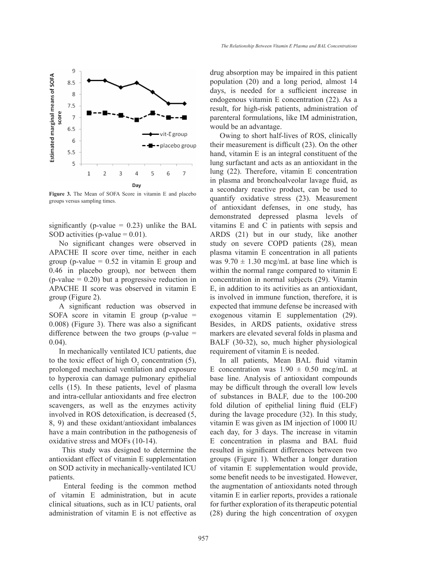

**Figure 3.** The Mean of SOFA Score in vitamin E and placebo groups versus sampling times.

significantly (p-value  $= 0.23$ ) unlike the BAL SOD activities (p-value  $= 0.01$ ).

No significant changes were observed in APACHE II score over time, neither in each group (p-value  $= 0.52$  in vitamin E group and 0.46 in placebo group), nor between them  $(p$ -value = 0.20) but a progressive reduction in APACHE II score was observed in vitamin E group (Figure 2).

A significant reduction was observed in SOFA score in vitamin E group (p-value  $=$ 0.008) (Figure 3). There was also a significant difference between the two groups (p-value  $=$ 0.04).

In mechanically ventilated ICU patients, due to the toxic effect of high  $O_2$  concentration (5), prolonged mechanical ventilation and exposure to hyperoxia can damage pulmonary epithelial cells (15). In these patients, level of plasma and intra-cellular antioxidants and free electron scavengers, as well as the enzymes activity involved in ROS detoxification, is decreased (5, 8, 9) and these oxidant/antioxidant imbalances have a main contribution in the pathogenesis of oxidative stress and MOFs (10-14).

 This study was designed to determine the antioxidant effect of vitamin E supplementation on SOD activity in mechanically-ventilated ICU patients.

 Enteral feeding is the common method of vitamin E administration, but in acute clinical situations, such as in ICU patients, oral administration of vitamin E is not effective as drug absorption may be impaired in this patient population (20) and a long period, almost 14 days, is needed for a sufficient increase in endogenous vitamin E concentration (22). As a result, for high-risk patients, administration of parenteral formulations, like IM administration, would be an advantage.

Owing to short half-lives of ROS, clinically their measurement is difficult (23). On the other hand, vitamin E is an integral constituent of the lung surfactant and acts as an antioxidant in the lung (22). Therefore, vitamin E concentration in plasma and bronchoalveolar lavage fluid, as a secondary reactive product, can be used to quantify oxidative stress (23). Measurement of antioxidant defenses, in one study, has demonstrated depressed plasma levels of vitamins E and C in patients with sepsis and ARDS (21) but in our study, like another study on severe COPD patients (28), mean plasma vitamin E concentration in all patients was  $9.70 \pm 1.30$  mcg/mL at base line which is within the normal range compared to vitamin E concentration in normal subjects (29). Vitamin E, in addition to its activities as an antioxidant, is involved in immune function, therefore, it is expected that immune defense be increased with exogenous vitamin E supplementation (29). Besides, in ARDS patients, oxidative stress markers are elevated several folds in plasma and BALF (30-32), so, much higher physiological requirement of vitamin E is needed.

In all patients, Mean BAL fluid vitamin E concentration was  $1.90 \pm 0.50$  mcg/mL at base line. Analysis of antioxidant compounds may be difficult through the overall low levels of substances in BALF, due to the 100-200 fold dilution of epithelial lining fluid (ELF) during the lavage procedure (32). In this study, vitamin E was given as IM injection of 1000 IU each day, for 3 days. The increase in vitamin E concentration in plasma and BAL fluid resulted in significant differences between two groups (Figure 1). Whether a longer duration of vitamin E supplementation would provide, some benefit needs to be investigated. However, the augmentation of antioxidants noted through vitamin E in earlier reports, provides a rationale for further exploration of its therapeutic potential (28) during the high concentration of oxygen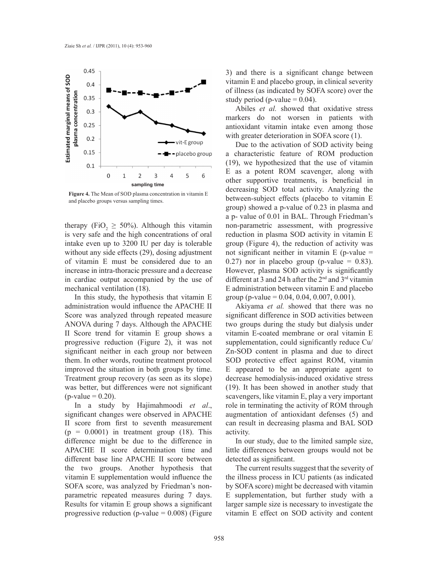

**Figure 4.** The Mean of SOD plasma concentration in vitamin E and placebo groups versus sampling times.

therapy (FiO<sub>2</sub>  $\geq$  50%). Although this vitamin is very safe and the high concentrations of oral intake even up to 3200 IU per day is tolerable without any side effects (29), dosing adjustment of vitamin E must be considered due to an increase in intra-thoracic pressure and a decrease in cardiac output accompanied by the use of mechanical ventilation (18).

In this study, the hypothesis that vitamin E administration would influence the APACHE II Score was analyzed through repeated measure ANOVA during 7 days. Although the APACHE II Score trend for vitamin E group shows a progressive reduction (Figure 2), it was not significant neither in each group nor between them. In other words, routine treatment protocol improved the situation in both groups by time. Treatment group recovery (as seen as its slope) was better, but differences were not significant  $(p-value = 0.20)$ .

In a study by Hajimahmoodi *et al*., significant changes were observed in APACHE II score from first to seventh measurement  $(p = 0.0001)$  in treatment group (18). This difference might be due to the difference in APACHE II score determination time and different base line APACHE II score between the two groups. Another hypothesis that vitamin E supplementation would influence the SOFA score, was analyzed by Friedman's nonparametric repeated measures during 7 days. Results for vitamin E group shows a significant progressive reduction (p-value  $= 0.008$ ) (Figure

3) and there is a significant change between vitamin E and placebo group, in clinical severity of illness (as indicated by SOFA score) over the study period (p-value  $= 0.04$ ).

Abiles *et al.* showed that oxidative stress markers do not worsen in patients with antioxidant vitamin intake even among those with greater deterioration in SOFA score  $(1)$ .

Due to the activation of SOD activity being a characteristic feature of ROM production (19), we hypothesized that the use of vitamin E as a potent ROM scavenger, along with other supportive treatments, is beneficial in decreasing SOD total activity. Analyzing the between-subject effects (placebo to vitamin E group) showed a p-value of 0.23 in plasma and a p- value of 0.01 in BAL. Through Friedman's non-parametric assessment, with progressive reduction in plasma SOD activity in vitamin E group (Figure 4), the reduction of activity was not significant neither in vitamin  $E$  (p-value  $=$ 0.27) nor in placebo group (p-value  $= 0.83$ ). However, plasma SOD activity is significantly different at 3 and 24 h after the 2<sup>nd</sup> and 3<sup>rd</sup> vitamin E administration between vitamin E and placebo group (p-value =  $0.04, 0.04, 0.007, 0.001$ ).

Akiyama *et al.* showed that there was no significant difference in SOD activities between two groups during the study but dialysis under vitamin E-coated membrane or oral vitamin E supplementation, could significantly reduce Cu/ Zn-SOD content in plasma and due to direct SOD protective effect against ROM, vitamin E appeared to be an appropriate agent to decrease hemodialysis-induced oxidative stress (19). It has been showed in another study that scavengers, like vitamin E, play a very important role in terminating the activity of ROM through augmentation of antioxidant defenses (5) and can result in decreasing plasma and BAL SOD activity.

In our study, due to the limited sample size, little differences between groups would not be detected as significant.

The current results suggest that the severity of the illness process in ICU patients (as indicated by SOFA score) might be decreased with vitamin E supplementation, but further study with a larger sample size is necessary to investigate the vitamin E effect on SOD activity and content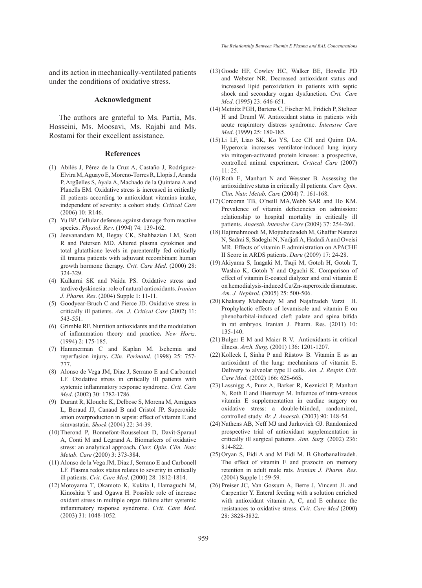and its action in mechanically-ventilated patients under the conditions of oxidative stress.

## **Acknowledgment**

The authors are grateful to Ms. Partia, Ms. Hosseini, Ms. Moosavi, Ms. Rajabi and Ms. Rostami for their excellent assistance.

#### **References**

- Abilés J, Pérez de la Cruz A, Castaño J, Rodríguez-(1) Elvira M, Aguayo E, Moreno-Torres R, Llopis J, Aranda P, Argüelles S, Ayala A, Machado de la Quintana A and Planells EM. Oxidative stress is increased in critically ill patients according to antioxidant vitamins intake, independent of severity: a cohort study. *Critical Care* (2006) 10: R146.
- (2) Yu BP. Cellular defenses against damage from reactive species. *Physiol. Rev*. (1994) 74: 139-162.
- (3) Jeevanandam M, Begay CK, Shahbazian LM, Scott R and Petersen MD. Altered plasma cytokines and total glutathione levels in parenterally fed critically ill trauma patients with adjuvant recombinant human growth hormone therapy. *Crit. Care Med*. (2000) 28: 324-329.
- (4) Kulkarni SK and Naidu PS. Oxidative stress and tardive dyskinesia: role of natural antioxidants. *Iranian J. Pharm. Res*. (2004) Supple 1: 11-11.
- Goodyear-Bruch C and Pierce JD. Oxidative stress in (5) critically ill patients. *Am. J. Critical Care* (2002) 11: 543-551.
- Grimble RF. Nutrition antioxidants and the modulation (6) of inflammation theory and practice**.** *New Horiz*. (1994) 2: 175-185.
- (7) Hammerman C and Kaplan M. Ischemia and reperfusion injury**.** *Clin. Perinatol*. (1998) 25: 757- 777.
- Alonso de Vega JM, Diaz J, Serrano E and Carbonnel (8) LF. Oxidative stress in critically ill patients with systemic inflammatory response syndrome. *Crit. Care Med*. (2002) 30: 1782-1786.
- (9) Durant R, Klouche K, Delbosc S, Morena M, Amigues L, Beraud JJ, Canaud B and Cristol JP. Superoxide anion overproduction in sepsis: effect of vitamin E and simvastatin. *Shock* (2004) 22: 34-39.
- (10) Therond P, Bonnefont-Rousselout D, Davit-Sparaul A, Conti M and Legrand A. Biomarkers of oxidative stress: an analytical approach**.** *Curr. Opin. Clin. Nutr. Metab. Care* (2000) 3: 373-384.
- Alonso de la Vega JM, Díaz J, Serrano E and Carbonell (11) LF. Plasma redox status relates to severity in critically ill patients. *Crit. Care Med*. (2000) 28: 1812-1814.
- (12) Motoyama T, Okamoto K, Kukita I, Hamaguchi M, Kinoshita Y and Ogawa H. Possible role of increase oxidant stress in multiple organ failure after systemic inflammatory response syndrome. *Crit. Care Med*. (2003) 31: 1048-1052.
- (13) Goode HF, Cowley HC, Walker BE, Howdle PD and Webster NR. Decreased antioxidant status and increased lipid peroxidation in patients with septic shock and secondary organ dysfunction. *Crit. Care Med*. (1995) 23: 646-651.
- Metnitz PGH, Bartens C, Fischer M, Fridich P, Steltzer (14) H and Druml W. Antioxidant status in patients with acute respiratory distress syndrome. *Intensive Care Med*. (1999) 25: 180-185.
- (15) Li LF, Liao SK, Ko YS, Lee CH and Quinn DA. Hyperoxia increases ventilator-induced lung injury via mitogen-activated protein kinases: a prospective, controlled animal experiment. *Critical Care* (2007)  $11 \cdot 25$
- $(16)$  Roth E, Manhart N and Wessner B. Assessing the antioxidative status in critically ill patients. *Curr. Opin. Clin. Nutr. Metab. Care* (2004) 7: 161-168.
- $(17)$  Corcoran TB, O'neill MA, Webb SAR and Ho KM. Prevalence of vitamin deficiencies on admission: relationship to hospital mortality in critically ill patients. *Anaesth. Intensive Care* (2009) 37: 254-260.
- (18) Hajimahmoodi M, Mojtahedzadeh M, Ghaffar Natanzi N, Sadrai S, Sadeghi N, Nadjafi A, Hadadi A and Oveisi MR. Effects of vitamin E administration on APACHE II Score in ARDS patients. *Daru* (2009) 17: 24-28.
- Akiyama S, Inagaki M, Tsuji M, Gotoh H, Gotoh T, (19) Washio K, Gotoh Y and Oguchi K. Comparison of effect of vitamin E-coated dialyzer and oral vitamin E on hemodialysis-induced Cu/Zn-superoxide dismutase. *Am. J. Nephrol*. (2005) 25: 500-506.
- $(20)$  Khaksary Mahabady M and Najafzadeh Varzi H. Prophylactic effects of levamisole and vitamin E on phenobarbital-induced cleft palate and spina bifida in rat embryos. Iranian J. Pharm. Res. (2011) 10: 135-140.
- $(21)$  Bulger E M and Maier R V. Antioxidants in critical illness. *Arch. Surg.* (2001) 136: 1201-1207.
- $(22)$  Kolleck I, Sinha P and Rüstow B. Vitamin E as an antioxidant of the lung: mechanisms of vitamin E. Delivery to alveolar type II cells. *Am. J. Respir. Crit. Care Med.* (2002) 166: 62S-66S.
- Lassnigg A, Punz A, Barker R, Keznickl P, Manhart (23) N, Roth E and Hiesmayr M. Infuence of intra-venous vitamin E supplementation in cardiac surgery on oxidative stress: a double-blinded, randomized, controlled study. *Br. J. Anaesth.* (2003) 90: 148-54.
- (24) Nathens AB, Neff MJ and Jurkovich GJ. Randomized prospective trial of antioxidant supplementation in critically ill surgical patients. *Ann. Surg.* (2002) 236: 814-822.
- (25) Oryan S, Eidi A and M Eidi M. B Ghorbanalizadeh. The effect of vitamin E and prazocin on memory retention in adult male rats*. Iranian J. Pharm. Res*. (2004) Supple 1: 59-59.
- (26) Preiser JC, Van Gossum A, Berre J, Vincent JL and Carpentier Y. Enteral feeding with a solution enriched with antioxidant vitamin A, C, and E enhance the resistances to oxidative stress. *Crit. Care Med* (2000) 28: 3828-3832.